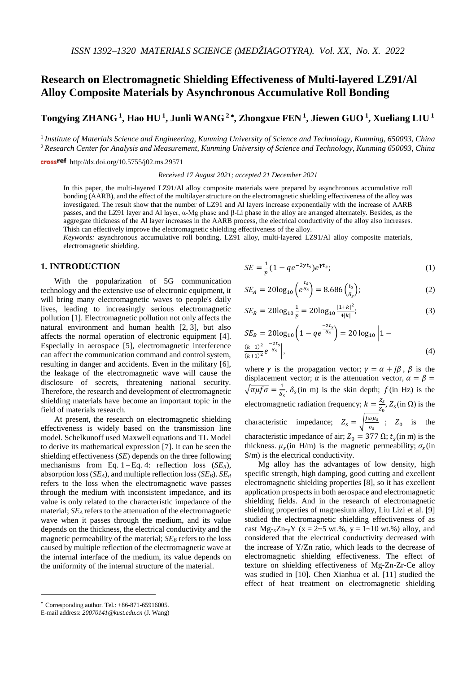# **Research on Electromagnetic Shielding Effectiveness of Multi-layered LZ91/Al Alloy Composite Materials by Asynchronous Accumulative Roll Bonding**

**Tongying ZHANG 1, Hao HU 1, Junli WANG <sup>2</sup>** <sup>∗</sup>**, Zhongxue FEN 1, Jiewen GUO 1, Xueliang LIU <sup>1</sup>**

<sup>1</sup> *Institute of Materials Science and Engineering, Kunming University of Science and Technology, Kunming, 650093, China* <sup>2</sup> *Research Center for Analysis and Measurement, Kunming University of Science and Technology, Kunming 650093, China*

crossref http://dx.doi.org/10.5755/j02.ms.29571

*Received 17 August 2021; accepted 21 December 2021*

In this paper, the multi-layered LZ91/Al alloy composite materials were prepared by asynchronous accumulative roll bonding (AARB), and the effect of the multilayer structure on the electromagnetic shielding effectiveness of the alloy was investigated. The result show that the number of LZ91 and Al layers increase exponentially with the increase of AARB passes, and the LZ91 layer and Al layer, α-Mg phase and β-Li phase in the alloy are arranged alternately. Besides, as the aggregate thickness of the Al layer increases in the AARB process, the electrical conductivity of the alloy also increases. Thish can effectively improve the electromagnetic shielding effectiveness of the alloy.

*Keywords:* asynchronous accumulative roll bonding, LZ91 alloy, multi-layered LZ91/Al alloy composite materials, electromagnetic shielding.

# **1. INTRODUCTION**[∗](#page-0-0)

With the popularization of 5G communication technology and the extensive use of electronic equipment, it will bring many electromagnetic waves to people's daily lives, leading to increasingly serious electromagnetic pollution [1]. Electromagnetic pollution not only affects the natural environment and human health [2, 3], but also affects the normal operation of electronic equipment [4]. Especially in aerospace [5], electromagnetic interference can affect the communication command and control system, resulting in danger and accidents. Even in the military [6], the leakage of the electromagnetic wave will cause the disclosure of secrets, threatening national security. Therefore, the research and development of electromagnetic shielding materials have become an important topic in the field of materials research.

At present, the research on electromagnetic shielding effectiveness is widely based on the transmission line model. Schelkunoff used Maxwell equations and TL Model to derive its mathematical expression [7]. It can be seen the shielding effectiveness (*SE*) depends on the three following mechanisms from Eq. 1 – Eq. 4: reflection loss (*SER*), absorption loss (*SEA*), and multiple reflection loss (*SEB*). *SER* refers to the loss when the electromagnetic wave passes through the medium with inconsistent impedance, and its value is only related to the characteristic impedance of the material; *SEA* refers to the attenuation of the electromagnetic wave when it passes through the medium, and its value depends on the thickness, the electrical conductivity and the magnetic permeability of the material;  $SE<sub>B</sub>$  refers to the loss caused by multiple reflection of the electromagnetic wave at the internal interface of the medium, its value depends on the uniformity of the internal structure of the material.

$$
SE = \frac{1}{p} \left( 1 - q e^{-2\gamma t_s} \right) e^{\gamma t_s};\tag{1}
$$

$$
SE_A = 20\log_{10}\left(e^{\frac{t_s}{\delta_s}}\right) = 8.686\left(\frac{t_s}{\delta_s}\right);\tag{2}
$$

$$
SE_R = 20\log_{10}\frac{1}{p} = 20\log_{10}\frac{|1+k|^2}{4|k|};
$$
\n(3)

$$
SE_B = 20\log_{10}\left(1 - q e^{\frac{-2t_s}{\delta_s}}\right) = 20\log_{10}\left|1 - \frac{(k-1)^2}{(k+1)^2}e^{\frac{-2t_s}{\delta_s}}\right|,\tag{4}
$$

where  $\gamma$  is the propagation vector;  $\gamma = \alpha + i\beta$ ,  $\beta$  is the displacement vector;  $\alpha$  is the attenuation vector,  $\alpha = \beta$  =  $\sqrt{\pi\mu f\sigma} = \frac{1}{\delta_s}$ .  $\delta_s$  (in m) is the skin depth;  $f$  (in Hz) is the electromagnetic radiation frequency;  $k = \frac{Z_s}{Z_0}$ ,  $Z_s$ (in  $\Omega$ ) is the characteristic impedance;  $Z_s = \sqrt{\frac{\mu \omega \mu_s}{\sigma_s}}$ ;  $Z_0$  is the characteristic impedance of air;  $Z_0 = 377 \Omega$ ;  $t_s$ (in m) is the thickness.  $\mu_s$  (in H/m) is the magnetic permeability;  $\sigma_s$  (in S/m) is the electrical conductivity.

Mg alloy has the advantages of low density, high specific strength, high damping, good cutting and excellent electromagnetic shielding properties [8], so it has excellent application prospects in both aerospace and electromagnetic shielding fields. And in the research of electromagnetic shielding properties of magnesium alloy, Liu Lizi et al. [9] studied the electromagnetic shielding effectiveness of as cast  $Mg_{x}Zn_{y}Y$  (x = 2~5 wt.%, y = 1~10 wt.%) alloy, and considered that the electrical conductivity decreased with the increase of Y/Zn ratio, which leads to the decrease of electromagnetic shielding effectiveness. The effect of texture on shielding effectiveness of Mg-Zn-Zr-Ce alloy was studied in [10]. Chen Xianhua et al. [11] studied the effect of heat treatment on electromagnetic shielding

<u>.</u>

<span id="page-0-0"></span><sup>∗</sup> Corresponding author. Tel.: +86-871-65916005.

E-mail address: *20070141@kust.edu.cn* (J. Wang)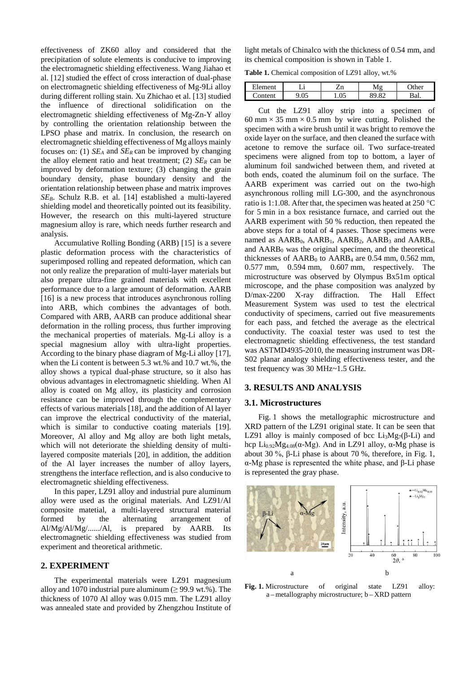effectiveness of ZK60 alloy and considered that the precipitation of solute elements is conducive to improving the electromagnetic shielding effectiveness. Wang Jiahao et al. [12] studied the effect of cross interaction of dual-phase on electromagnetic shielding effectiveness of Mg-9Li alloy during different rolling stain. Xu Zhichao et al. [13] studied the influence of directional solidification on the electromagnetic shielding effectiveness of Mg-Zn-Y alloy by controlling the orientation relationship between the LPSO phase and matrix. In conclusion, the research on electromagnetic shielding effectiveness of Mg alloys mainly focuses on: (1) *SEA* and *SER* can be improved by changing the alloy element ratio and heat treatment; (2)  $SE_R$  can be improved by deformation texture; (3) changing the grain boundary density, phase boundary density and the orientation relationship between phase and matrix improves *SEB*. Schulz R.B. et al. [14] established a multi-layered shielding model and theoretically pointed out its feasibility. However, the research on this multi-layered structure magnesium alloy is rare, which needs further research and analysis.

Accumulative Rolling Bonding (ARB) [15] is a severe plastic deformation process with the characteristics of superimposed rolling and repeated deformation, which can not only realize the preparation of multi-layer materials but also prepare ultra-fine grained materials with excellent performance due to a large amount of deformation. AARB [16] is a new process that introduces asynchronous rolling into ARB, which combines the advantages of both. Compared with ARB, AARB can produce additional shear deformation in the rolling process, thus further improving the mechanical properties of materials. Mg-Li alloy is a special magnesium alloy with ultra-light properties. According to the binary phase diagram of Mg-Li alloy [17], when the Li content is between 5.3 wt.% and 10.7 wt.%, the alloy shows a typical dual-phase structure, so it also has obvious advantages in electromagnetic shielding. When Al alloy is coated on Mg alloy, its plasticity and corrosion resistance can be improved through the complementary effects of various materials [18], and the addition of Al layer can improve the electrical conductivity of the material, which is similar to conductive coating materials [19]. Moreover, Al alloy and Mg alloy are both light metals, which will not deteriorate the shielding density of multilayered composite materials [20], in addition, the addition of the Al layer increases the number of alloy layers, strengthens the interface reflection, and is also conducive to electromagnetic shielding effectiveness.

In this paper, LZ91 alloy and industrial pure aluminum alloy were used as the original materials. And LZ91/Al composite matetial, a multi-layered structural material formed by the alternating arrangement of Al/Mg/Al/Mg/....../Al, is prepared by AARB. Its electromagnetic shielding effectiveness was studied from experiment and theoretical arithmetic.

## **2. EXPERIMENT**

The experimental materials were LZ91 magnesium alloy and 1070 industrial pure aluminum ( $\geq$  99.9 wt.%). The thickness of 1070 Al alloy was 0.015 mm. The LZ91 alloy was annealed state and provided by Zhengzhou Institute of light metals of Chinalco with the thickness of 0.54 mm, and its chemical composition is shown in Table 1.

**Table 1.** Chemical composition of LZ91 alloy, wt.%

| --<br>llement | . .<br>-- | n<br>ப | $\sqrt{2}$            | ٦A۳     |
|---------------|-----------|--------|-----------------------|---------|
| `ontent       | .v.       | 1.VJ   | $\mathbf{O}^{\prime}$ | n<br>ш. |

Cut the LZ91 alloy strip into a specimen of 60 mm  $\times$  35 mm  $\times$  0.5 mm by wire cutting. Polished the specimen with a wire brush until it was bright to remove the oxide layer on the surface, and then cleaned the surface with acetone to remove the surface oil. Two surface-treated specimens were aligned from top to bottom, a layer of aluminum foil sandwiched between them, and riveted at both ends, coated the aluminum foil on the surface. The AARB experiment was carried out on the two-high asynchronous rolling mill LG-300, and the asynchronous ratio is 1:1.08. After that, the specimen was heated at 250 °C for 5 min in a box resistance furnace, and carried out the AARB experiment with 50 % reduction, then repeated the above steps for a total of 4 passes. Those specimens were named as  $AARB<sub>0</sub>$ ,  $AARB<sub>1</sub>$ ,  $AARB<sub>2</sub>$ ,  $AARB<sub>3</sub>$  and  $AARB<sub>4</sub>$ , and  $AARB<sub>0</sub>$  was the original specimen, and the theoretical thicknesses of  $AARB<sub>0</sub>$  to  $AARB<sub>4</sub>$  are 0.54 mm, 0.562 mm, 0.577 mm, 0.594 mm, 0.607 mm, respectively*.* The microstructure was observed by Olympus Bx51m optical microscope, and the phase composition was analyzed by D/max-2200 X-ray diffraction. The Hall Effect Measurement System was used to test the electrical conductivity of specimens, carried out five measurements for each pass, and fetched the average as the electrical conductivity. The coaxial tester was used to test the electromagnetic shielding effectiveness, the test standard was ASTMD4935-2010, the measuring instrument was DR-S02 planar analogy shielding effectiveness tester, and the test frequency was 30 MHz~1.5 GHz.

## **3. RESULTS AND ANALYSIS**

#### **3.1. Microstructures**

Fig. 1 shows the metallographic microstructure and XRD pattern of the LZ91 original state. It can be seen that LZ91 alloy is mainly composed of bcc Li<sub>3</sub>Mg<sub>7</sub>( $\beta$ -Li) and hcp Li<sub>0.92</sub>Mg<sub>4.08</sub>(α-Mg). And in LZ91 alloy, α-Mg phase is about 30 %, β-Li phase is about 70 %, therefore, in Fig. 1, α-Mg phase is represented the white phase, and β-Li phase is represented the gray phase.



**Fig. 1.** Microstructure of original state LZ91 alloy: a – metallography microstructure; b – XRD pattern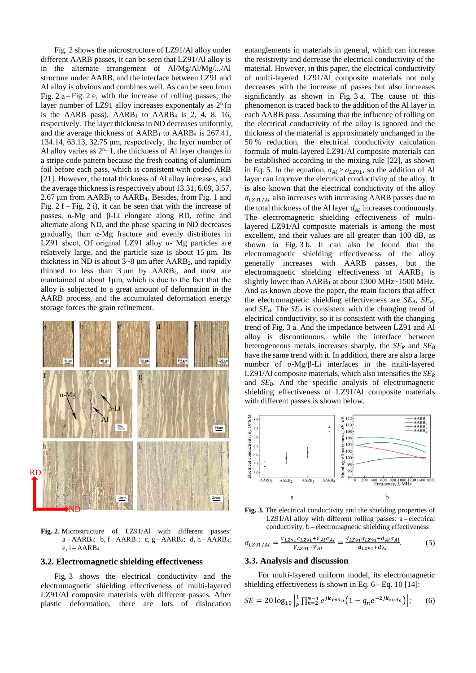Fig. 2 shows the microstructure of LZ91/Al alloy under different AARB passes, it can be seen that LZ91/Al alloy is in the alternate arrangement of Al/Mg/Al/Mg/.../Al structure under AARB, and the interface between LZ91 and Al alloy is obvious and combines well. As can be seen from Fig.  $2a - Fig. 2e$ , with the increase of rolling passes, the layer number of LZ91 alloy increases exponentaly as  $2<sup>n</sup>$  (n is the AARB pass),  $AARB<sub>1</sub>$  to  $AARB<sub>4</sub>$  is 2, 4, 8, 16, respectively. The layer thickness in ND decreases uniformly, and the average thickness of  $AARB<sub>1</sub>$  to  $AARB<sub>4</sub>$  is 267.41, 134.14, 63.13, 32.75 μm, respectively, the layer number of Al alloy varies as  $2<sup>n</sup>+1$ , the thickness of Al layer changes in a stripe code pattern because the fresh coating of aluminum foil before each pass, which is consistent with coded-ARB [21]. However, the total thickness of Al alloy increases, and the average thickness is respectively about 13.31, 6.69, 3.57,  $2.67 \mu m$  from  $AARB<sub>1</sub>$  to  $AARB<sub>4</sub>$ . Besides, from Fig. 1 and Fig.  $2 f$  – Fig.  $2 i$ ), it can be seen that with the increase of passes, α-Mg and β-Li elongate along RD, refine and alternate along ND, and the phase spacing in ND decreases gradually, then α-Mg fracture and evenly distributes in LZ91 sheet, Of original LZ91 alloy  $\alpha$ - Mg particles are relatively large, and the particle size is about 15 μm. Its thickness in ND is about  $3-8$  µm after AARB<sub>2</sub>, and rapidly thinned to less than  $3 \mu m$  by AARB<sub>4</sub>, and most are maintained at about 1μm, which is due to the fact that the alloy is subjected to a great amount of deformation in the AARB process, and the accumulated deformation energy storage forces the grain refinement.



**Fig. 2.** Microstructure of LZ91/Al with different passes:  $a - AARB<sub>0</sub>; b, f - AARB<sub>1</sub>; c, g - AARB<sub>2</sub>; d, h - AARB<sub>3</sub>;$ e,  $i - AARB<sub>4</sub>$ 

## **3.2. Electromagnetic shielding effectiveness**

Fig. 3 shows the electrical conductivity and the electromagnetic shielding effectiveness of multi-layered LZ91/Al composite materials with different passes. After plastic deformation, there are lots of dislocation entanglements in materials in general, which can increase the resistivity and decrease the electrical conductivity of the material. However, in this paper, the electrical conductivity of multi-layered LZ91/Al composite materials not only decreases with the increase of passes but also increases significantly as shown in Fig. 3 a*.* The cause of this phenomenon is traced back to the addition of the Al layer in each AARB pass. Assuming that the influence of rolling on the electrical conductivity of the alloy is ignored and the thickness of the material is approximately unchanged in the 50 % reduction, the electrical conductivity calculation formula of multi-layered LZ91/Al composite materials can be established according to the mixing rule [22], as shown in Eq. 5. In the equation,  $\sigma_{Al} > \sigma_{LZ91}$ , so the addition of Al layer can improve the electrical conductivity of the alloy. It is also known that the electrical conductivity of the alloy  $\sigma_{LZ91/Al}$  also increases with increasing AARB passes due to the total thickness of the Al layer  $d_{4l}$  increases continuously. The electromagnetic shielding effectiveness of multilayered LZ91/Al composite materials is among the most excellent, and their values are all greater than 100 dB, as shown in Fig. 3 b. It can also be found that the electromagnetic shielding effectiveness of the alloy generally increases with AARB passes, but the electromagnetic shielding effectiveness of AARB<sub>2</sub> is slightly lower than  $AARB<sub>1</sub>$  at about 1300 MHz $\sim$ 1500 MHz. And as known above the paper, the main factors that affect the electromagnetic shielding effectiveness are *SEA*, *SER*, and  $SE_B$ . The  $SE_A$  is consistent with the changing trend of electrical conductivity, so it is consistent with the changing trend of Fig. 3 a. And the impedance between LZ91 and Al alloy is discontinuous, while the interface between heterogeneous metals increases sharply, the  $SE<sub>R</sub>$  and  $SE<sub>B</sub>$ have the same trend with it. In addition, there are also a large number of α-Mg/β-Li interfaces in the multi-layered LZ91/Al composite materials, which also intensifies the *SER* and *SEB*. And the specific analysis of electromagnetic shielding effectiveness of LZ91/Al composite materials with different passes is shown below.



**Fig. 3.** The electrical conductivity and the shielding properties of LZ91/Al alloy with different rolling passes: a-electrical conductivity; b – electromagnetic shielding effectiveness

$$
\sigma_{LZ91/Al} = \frac{V_{LZ91}\sigma_{LZ91} + V_{Al}\sigma_{Al}}{V_{LZ91} + V_{Al}} = \frac{d_{LZ91}\sigma_{LZ91} + d_{Al}\sigma_{Al}}{d_{LZ91} + d_{Al}}.\tag{5}
$$

## **3.3. Analysis and discussion**

For multi-layered uniform model, its electromagnetic shielding effectiveness is shown in Eq. 6 – Eq. 10 [14]:

$$
SE = 20 \log_{10} \left| \frac{1}{p} \prod_{n=2}^{N-1} e^{jk_{xnd_n}} \left( 1 - q_n e^{-2jk_{xnd_n}} \right) \right|; \qquad (6)
$$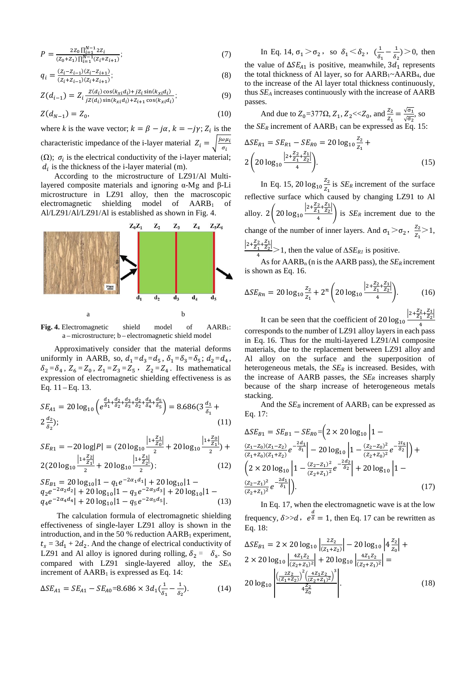$$
P = \frac{2Z_0 \prod_{i=1}^{N-1} 2Z_i}{(Z_0 + Z_1) \prod_{i=1}^{N-1} (Z_i + Z_{i+1})};
$$
\n(7)

$$
q_i = \frac{(z_i - z_{i-1})(z_i - z_{i+1})}{(z_i + z_{i-1})(z_i + z_{i+1})},\tag{8}
$$

$$
Z(d_{i-1}) = Z_i \frac{Z(d_i) \cos(k_{xi} d_i) + jZ_i \sin(k_{xi} d_i)}{jZ(d_i) \sin(k_{xi} d_i) + Z_{i+1} \cos(k_{xi} d_i)}.
$$
(9)

$$
Z(d_{N-1}) = Z_0,\t\t(10)
$$

where *k* is the wave vector;  $k = \beta - j\alpha$ ,  $k = -j\gamma$ ;  $Z_i$  is the characteristic impedance of the i-layer material  $Z_i = \sqrt{\frac{\mu \omega \mu_i}{\sigma_i}}$ ( $\Omega$ );  $\sigma_i$  is the electrical conductivity of the i-layer material;  $d_i$  is the thickness of the i-layer material (m).

According to the microstructure of LZ91/Al Multilayered composite materials and ignoring α-Mg and β-Li microstructure in LZ91 alloy, then the macroscopic electromagnetic shielding model of  $AARB<sub>1</sub>$  of Al/LZ91/Al/LZ91/Al is established as shown in Fig. 4.



**Fig. 4.** Electromagnetic shield model of AARB1: a – microstructure; b – electromagnetic shield model

Approximatively consider that the material deforms uniformly in AARB, so,  $d_1 = d_3 = d_5$ ,  $\delta_1 = \delta_3 = \delta_5$ ;  $d_2 = d_4$ ,  $\delta_2 = \delta_4$ ,  $Z_6 = Z_0$ ,  $Z_1 = Z_3 = Z_5$ ,  $Z_2 = Z_4$ . Its mathematical expression of electromagnetic shielding effectiveness is as Eq.  $11 - Eq. 13$ .

$$
SE_{A1} = 20 \log_{10} \left( e^{\frac{d_1}{\delta_1} + \frac{d_2}{\delta_2} + \frac{d_3}{\delta_3} + \frac{d_2}{\delta_4} + \frac{d_4}{\delta_5}} \right) = 8.686(3\frac{d_1}{\delta_1} + 2\frac{d_2}{\delta_2});
$$
\n(11)

$$
SE_{R1} = -20 \log|P| = (20 \log_{10} \frac{|1 + \frac{Z_1}{Z_0}|}{2} + 20 \log_{10} \frac{|1 + \frac{Z_0}{Z_1}|}{2}) +
$$
  
2(20 log<sub>10</sub>  $\frac{|1 + \frac{Z_2}{Z_1}|}{2} + 20 \log_{10} \frac{|1 + \frac{Z_1}{Z_2}|}{2});$  (12)

$$
SE_{B1} = 20 \log_{10} |1 - q_1 e^{-2\alpha_1 d_1} | + 20 \log_{10} |1 - q_2 e^{-2\alpha_2 d_2} | + 20 \log_{10} |1 - q_3 e^{-2\alpha_3 d_3} | + 20 \log_{10} |1 - q_4 e^{-2\alpha_4 d_4} | + 20 \log_{10} |1 - q_5 e^{-2\alpha_5 d_5} |.
$$
 (13)

The calculation formula of electromagnetic shielding effectiveness of single-layer LZ91 alloy is shown in the introduction, and in the 50 % reduction  $AARB<sub>1</sub>$  experiment,  $t_s = 3d_1 + 2d_2$ . And the change of electrical conductivity of LZ91 and Al alloy is ignored during rolling,  $\delta_2 = \delta_s$ . So compared with LZ91 single-layered alloy, the *SEA* increment of  $AARB<sub>1</sub>$  is expressed as Eq. 14:

$$
\Delta SE_{A1} = SE_{A1} - SE_{A0} = 8.686 \times 3d_1(\frac{1}{\delta_1} - \frac{1}{\delta_2}).
$$
 (14)

In Eq. 14,  $\sigma_1 > \sigma_2$ , so  $\delta_1 < \delta_2$ ,  $(\frac{1}{\delta_1} - \frac{1}{\delta_2}) > 0$ , then the value of  $\Delta SE_{A1}$  is positive, meanwhile, 3d<sub>1</sub> represents the total thickness of Al layer, so for  $AARB_1~AARB_4$ , due to the increase of the Al layer total thickness continuously, thus *SEA* increases continuously with the increase of AARB passes.

And due to 
$$
Z_0=377\Omega
$$
,  $Z_1$ ,  $Z_2 \ll Z_0$ , and  $\frac{Z_2}{Z_1} = \frac{\sqrt{\sigma_1}}{\sqrt{\sigma_2}}$ , so  
the  $SE_R$  increment of AARB<sub>1</sub> can be expressed as Eq. 15:

$$
\Delta SE_{R1} = SE_{R1} - SE_{R0} = 20 \log_{10} \frac{z_2}{z_1} + 2 \left( 20 \log_{10} \frac{|2 + \frac{z_2}{z_1} + \frac{z_1}{z_2}|}{4} \right).
$$
\n(15)

In Eq. 15, 20  $log_{10} \frac{Z_2}{Z_1}$  $\frac{22}{Z_1}$  is *SE<sub>R</sub>* increment of the surface reflective surface which caused by changing LZ91 to Al alloy.  $2\left(20\log_{10}\frac{|2+\frac{22}{Z_1}+\frac{21}{Z_2}|}{4}\right)$  is *SE<sub>R</sub>* increment due to the change of the number of inner layers. And  $\sigma_1 > \sigma_2$ ,  $\frac{z_2}{z_1} > 1$ ,  $\frac{|2+\frac{22}{Z_1}+\frac{21}{Z_2}|}{4}$  > 1, then the value of  $\Delta SE_{RI}$  is positive.

As for  $AARB_n$  (n is the  $AARB$  pass), the  $SE_R$  increment is shown as Eq. 16.

$$
\Delta SE_{Rn} = 20 \log_{10} \frac{z_2}{z_1} + 2^n \left( 20 \log_{10} \frac{|2 + \frac{z_2}{z_1} + \frac{z_1}{z_2}|}{4} \right).
$$
 (16)

It can be seen that the coefficient of  $20 \log_{10} \frac{|2 + \frac{22}{21} + \frac{21}{22}|}{4}$ 4 corresponds to the number of LZ91 alloy layers in each pass in Eq. 16. Thus for the multi-layered LZ91/Al composite materials, due to the replacement between LZ91 alloy and Al alloy on the surface and the superposition of heterogeneous metals, the *SER* is increased. Besides, with the increase of AARB passes, the *SER* increases sharply because of the sharp increase of heterogeneous metals stacking.

And the  $SE_B$  increment of  $AARB_1$  can be expressed as Eq. 17:

$$
\Delta SE_{B1} = SE_{B1} - SE_{R0} = \left(2 \times 20 \log_{10} \left| 1 - \frac{(z_1 - z_0)(z_1 - z_2)}{(z_1 + z_0)(z_1 + z_2)} e^{-\frac{2d_1}{\delta_1}}\right| - 20 \log_{10} \left| 1 - \frac{(z_2 - z_0)^2}{(z_2 + z_0)^2} e^{-\frac{2t_5}{\delta_2}}\right| \right) + \left(2 \times 20 \log_{10} \left| 1 - \frac{(z_2 - z_1)^2}{(z_2 + z_1)^2} e^{-\frac{2d_2}{\delta_2}}\right| + 20 \log_{10} \left| 1 - \frac{(z_2 - z_1)^2}{(z_2 + z_1)^2} e^{-\frac{2d_1}{\delta_1}}\right| \right). \tag{17}
$$

In Eq. 17, when the electromagnetic wave is at the low frequency,  $\delta \gg d$ ,  $e^{\frac{d}{\delta}} = 1$ , then Eq. 17 can be rewritten as Eq. 18:

$$
\Delta SE_{B1} = 2 \times 20 \log_{10} \left| \frac{2Z_2}{(Z_1 + Z_2)} \right| - 20 \log_{10} \left| 4 \frac{Z_2}{Z_0} \right| + 2 \times 20 \log_{10} \left| \frac{4Z_1Z_2}{(Z_2 + Z_1)^2} \right| + 20 \log_{10} \left| \frac{4Z_1Z_2}{(Z_2 + Z_1)^2} \right| = 20 \log_{10} \left| \frac{\left(\frac{2Z_2}{(Z_1 + Z_2)}\right)^2 \left(\frac{4Z_1Z_2}{(Z_2 + Z_1)^2}\right)^3}{4 \frac{Z_2}{Z_0}} \right|.
$$
\n(18)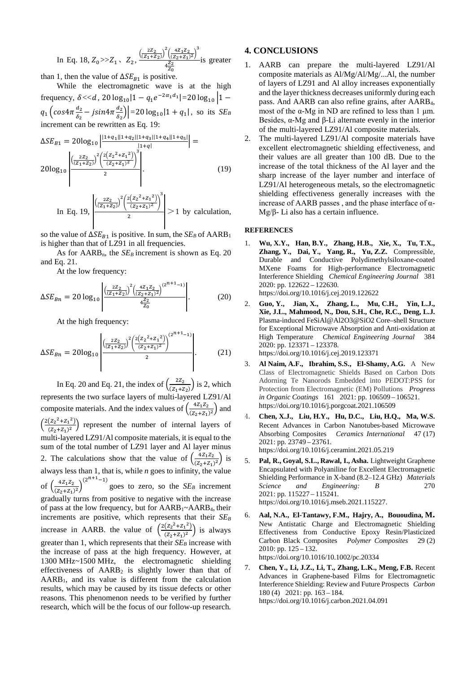In Eq. 18,  $Z_0 \gg Z_1$ ,  $Z_2$ ,  $\frac{\left(\frac{2Z_2}{(Z_1+Z_2)}\right)^2 \left(\frac{4Z_1Z_2}{(Z_2+Z_1)^2}\right)^3}{\frac{dZ_2}{}}$  $\frac{\frac{1}{2}(2+2i)^{2}}{4\frac{z_{2}}{z_{0}}}$  is greater than 1, then the value of  $\Delta SE_{B1}$  is positive.

While the electromagnetic wave is at the high frequency,  $\delta \ll d$ , 20  $\log_{10} |1 - q_1 e^{-2\alpha_1 d_1}| = 20 \log_{10} |1$  $q_1 \left(\cos 4\pi \frac{d_2}{\delta_2}\right)$  $\frac{a_2}{\delta_2}$  – jsin $4\pi \frac{a_2}{\delta_2}$  $\left| \frac{a_2}{\delta_2} \right|$  = 20  $\log_{10}$  | 1 +  $q_1$ |, so its *SE<sub>B</sub>* increment can be rewritten as Eq. 19:

$$
\Delta SE_{B1} = 20\log_{10} \left| \frac{|1 + q_1||1 + q_2||1 + q_3||1 + q_4||1 + q_5|}{|1 + q|} \right| =
$$
  

$$
20\log_{10} \left| \frac{\left(\frac{2Z_2}{(Z_1 + Z_2)}\right)^2 \left(\frac{2(Z_2 + Z_1)^2}{(Z_2 + Z_1)^2}\right)^3}{2} \right|.
$$
 (19)

In Eq. 19, 
$$
\frac{\left| \left( \frac{2Z_2}{(Z_1 + Z_2)} \right)^2 \left( \frac{2(Z_2^2 + Z_1^2)}{(Z_2 + Z_1)^2} \right)^3 \right|}{2} > 1
$$
 by calculation,

so the value of  $\Delta SE_{B1}$  is positive. In sum, the  $SE_B$  of AARB<sub>1</sub> is higher than that of LZ91 in all frequencies.

As for  $AARB_n$ , the  $SE_B$  increment is shown as Eq. 20 and Eq. 21.

At the low frequency:

$$
\Delta SE_{Bn} = 20 \log_{10} \left| \frac{\left(\frac{2Z_2}{(Z_1 + Z_2)}\right)^2 \left(\frac{4Z_1 Z_2}{(Z_2 + Z_1)^2}\right)^{(2^{n+1}-1)}}{\frac{4Z_2}{Z_0}} \right|.
$$
 (20)

At the high frequency:

$$
\Delta SE_{Bn} = 20\log_{10}\left| \frac{\left(\frac{2Z_2}{(Z_1 + Z_2)}\right)^2 \left(\frac{2\left(Z_2^2 + Z_1^2\right)}{(Z_2 + Z_1)^2}\right)^{(2n+1)} }{2} \right|.
$$
 (21)

In Eq. 20 and Eq. 21, the index of  $\left(\frac{2Z_2}{(Z_1+Z_2)}\right)$  is 2, which represents the two surface layers of multi-layered LZ91/Al composite materials. And the index values of  $\left(\frac{4Z_1Z_2}{(Z_2+Z_1)^2}\right)$  and  $\left(\frac{2(z_2^2 + z_1^2)}{(z_2 + z_1)^2}\right)$  represent the number of internal layers of multi-layered LZ91/Al composite materials, it is equal to the sum of the total number of LZ91 layer and Al layer minus 2. The calculations show that the value of  $\left(\frac{4Z_1Z_2}{(Z_2+Z_1)^2}\right)$  is always less than 1, that is, while *n* goes to infinity, the value of  $\left(\frac{4Z_1Z_2}{(Z_2+Z_1)^2}\right)$  $(2^{n+1}-1)$  goes to zero, so the *SE<sub>B</sub>* increment gradually turns from positive to negative with the increase of pass at the low frequency, but for AARB1~AARB4, their increments are positive, which represents that their *SEB* increase in AARB. the value of  $\left(\frac{2(z_2^2 + z_1^2)}{(z_2 + z_1)^2}\right)$  is always greater than 1, which represents that their  $SE_B$  increase with the increase of pass at the high frequency. However, at 1300 MHz~1500 MHz, the electromagnetic shielding effectiveness of  $AARB<sub>2</sub>$  is slightly lower than that of AARB1, and its value is different from the calculation results, which may be caused by its tissue defects or other reasons. This phenomenon needs to be verified by further research, which will be the focus of our follow-up research*.*

## **4. CONCLUSIONS**

- 1. AARB can prepare the multi-layered LZ91/Al composite materials as Al/Mg/Al/Mg/...Al, the number of layers of LZ91 and Al alloy increases exponentially and the layer thickness decreases uniformly during each pass. And AARB can also refine grains, after AARB4, most of the  $\alpha$ -Mg in ND are refined to less than 1  $\mu$ m. Besides, α-Mg and β-Li alternate evenly in the interior of the multi-layered LZ91/Al composite materials.
- 2. The multi-layered LZ91/Al composite materials have excellent electromagnetic shielding effectiveness, and their values are all greater than 100 dB. Due to the increase of the total thickness of the Al layer and the sharp increase of the layer number and interface of LZ91/Al heterogeneous metals, so the electromagnetic shielding effectiveness generally increases with the increase of AARB passes, and the phase interface of  $\alpha$ -Mg/β- Li also has a certain influence.

#### **REFERENCES**

- 1. **Wu, X.Y., Han, B.Y., Zhang, H.B., Xie, X., Tu, T.X., Zhang, Y., Dai, Y., Yang, R., Yu, Z.Z.** Compressible, Durable and Conductive Polydimethylsiloxane-coated MXene Foams for High-performance Electromagnetic Interference Shielding *Chemical Engineering Journal* 381 2020: pp. 122622 – 122630. [https://doi.org/10.1016/j.cej.2019.122622](https://www.sciencedirect.com/science/article/pii/S138589471932025X)
- 2. **Guo, Y., Jian, X., Zhang, L., Mu, C.H., Yin, L.J., Xie, J.L., Mahmood, N., Dou, S.H., Che, R.C., Deng, L.J.** Plasma-induced FeSiAl@Al2O3@SiO2 Core–shell Structure for Exceptional Microwave Absorption and Anti-oxidation at High Temperature *Chemical Engineering Journal* 384 2020: pp. 123371 – 123378. <https://doi.org/10.1016/j.cej.2019.123371>
- 3. **Al Naim, A.F., Ibrahim, S.S., El-Shamy, A.G.** A New Class of Electromagnetic Shields Based on Carbon Dots Adorning Te Nanorods Embedded into PEDOT:PSS for Protection from Electromagnetic (EM) Pollutions *Progress in Organic Coatings* 161 2021: pp. 106509 – 106521. <https://doi.org/10.1016/j.porgcoat.2021.106509>
- 4. **Chen, X.J., Liu, H.Y., Hu, D.C., Liu, H.Q., Ma, W.S.** Recent Advances in Carbon Nanotubes-based Microwave Absorbing Composites *Ceramics International* 47 (17) 2021: pp. 23749 – 23761. [https://doi.org/10.1016/j.ceramint.2021.05.219](https://doi.org/10.1016/j.ceramint.2021.05.219.)
- 5. **Pal, R., Goyal, S.L., Rawal, I., Asha.** Lightweight Graphene Encapsulated with Polyaniline for Excellent Electromagnetic Shielding Performance in X-band (8.2–12.4 GHz) *Materials Science and Engineering: B* 270 2021: pp. 115227 – 115241. [https://doi.org/10.1016/j.mseb.2021.115227.](https://www.sciencedirect.com/science/article/pii/S0921510721001872)
- 6. **Aal, N.A., El-Tantawy, F.M., Hajry, A., Bououdina, [M.](https://xueshu.baidu.com/s?wd=author%3A%28M%20Bououdina%29%20&tn=SE_baiduxueshu_c1gjeupa&ie=utf-8&sc_f_para=sc_hilight%3Dperson)** [New Antistatic Charge and Electromagnetic Shielding](https://xueshu.baidu.com/s?wd=author%3A%28M%20Bououdina%29%20&tn=SE_baiduxueshu_c1gjeupa&ie=utf-8&sc_f_para=sc_hilight%3Dperson)  [Effectiveness from Conductive Epoxy Resin/Plasticized](https://xueshu.baidu.com/s?wd=author%3A%28M%20Bououdina%29%20&tn=SE_baiduxueshu_c1gjeupa&ie=utf-8&sc_f_para=sc_hilight%3Dperson)  [Carbon Black Composites](https://xueshu.baidu.com/s?wd=author%3A%28M%20Bououdina%29%20&tn=SE_baiduxueshu_c1gjeupa&ie=utf-8&sc_f_para=sc_hilight%3Dperson) *Polymer Composites* 29 (2) 2010: pp. 125 – 132. [https://doi.org/10.1016/10.1002/pc.20334](https://doi.org/10.1016/10.1002/pc.20334.)
- 7. **Chen, Y., Li, J.Z., Li, T., Zhang, L.K., Meng, F.B.** Recent Advances in Graphene-based Films for Electromagnetic Interference Shielding: Review and Future Prospects *Carbon* 180 (4) 2021: pp. 163 – 184. [https://doi.org/10.1016/j.carbon.2021.04.091](https://www.sciencedirect.com/science/article/pii/S000862232100484X)